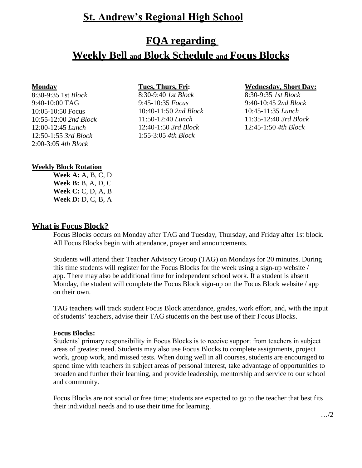# **St. Andrew's Regional High School**

# **FQA regarding**

# **Weekly Bell and Block Schedule and Focus Blocks**

#### **Monday**

8:30-9:35 1st *Block* 9:40-10:00 TAG 10:05-10:50 Focus 10:55-12:00 *2nd Block* 12:00-12:45 *Lunch* 12:50-1:55 *3rd Block* 2:00-3:05 *4th Block*

9:45-10:35 *Focus* 9:40-10:45 *2nd Block* 10:40-11:50 *2nd Block* 10:45-11:35 *Lunch* 11:50-12:40 *Lunch* 11:35-12:40 *3rd Block* 12:40-1:50 *3rd Block* 12:45-1:50 *4th Block* 1:55-3:05 *4th Block*

#### **Tues, Thurs, Fri: Wednesday, Short Day:**

8:30-9:40 *1st Block* 8:30-9:35 *1st Block*

## **Weekly Block Rotation**

**Week A:** A, B, C, D **Week B:** B, A, D, C **Week C:** C, D, A, B **Week D:** D, C, B, A

## **What is Focus Block?**

Focus Blocks occurs on Monday after TAG and Tuesday, Thursday, and Friday after 1st block. All Focus Blocks begin with attendance, prayer and announcements.

Students will attend their Teacher Advisory Group (TAG) on Mondays for 20 minutes. During this time students will register for the Focus Blocks for the week using a sign-up website / app. There may also be additional time for independent school work. If a student is absent Monday, the student will complete the Focus Block sign-up on the Focus Block website / app on their own.

TAG teachers will track student Focus Block attendance, grades, work effort, and, with the input of students' teachers, advise their TAG students on the best use of their Focus Blocks.

### **Focus Blocks:**

Students' primary responsibility in Focus Blocks is to receive support from teachers in subject areas of greatest need. Students may also use Focus Blocks to complete assignments, project work, group work, and missed tests. When doing well in all courses, students are encouraged to spend time with teachers in subject areas of personal interest, take advantage of opportunities to broaden and further their learning, and provide leadership, mentorship and service to our school and community.

Focus Blocks are not social or free time; students are expected to go to the teacher that best fits their individual needs and to use their time for learning.

…/2